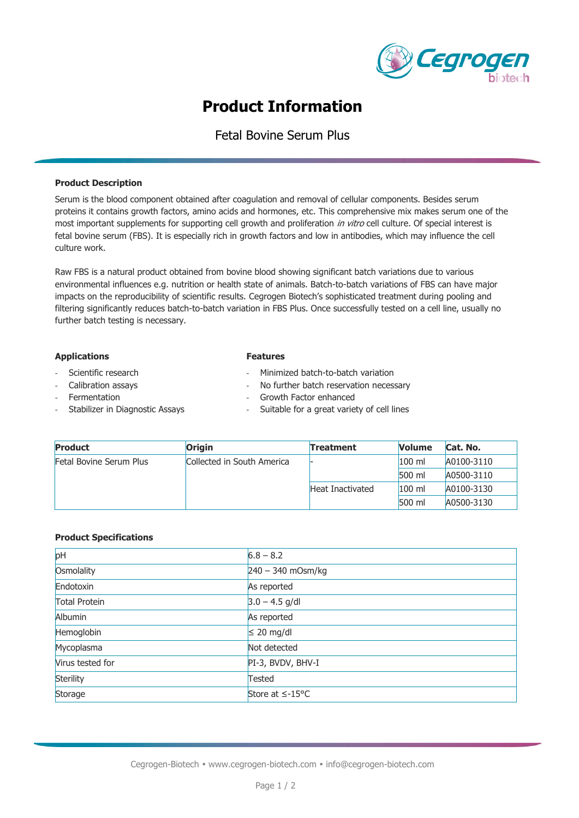

# **Product Information**

# Fetal Bovine Serum Plus

### **Product Description**

Serum is the blood component obtained after coagulation and removal of cellular components. Besides serum proteins it contains growth factors, amino acids and hormones, etc. This comprehensive mix makes serum one of the most important supplements for supporting cell growth and proliferation in vitro cell culture. Of special interest is fetal bovine serum (FBS). It is especially rich in growth factors and low in antibodies, which may influence the cell culture work.

Raw FBS is a natural product obtained from bovine blood showing significant batch variations due to various environmental influences e.g. nutrition or health state of animals. Batch-to-batch variations of FBS can have major impacts on the reproducibility of scientific results. Cegrogen Biotech's sophisticated treatment during pooling and filtering significantly reduces batch-to-batch variation in FBS Plus. Once successfully tested on a cell line, usually no further batch testing is necessary.

#### **Applications**

- Scientific research
- Calibration assays
- **Fermentation**
- Stabilizer in Diagnostic Assays
- **Features**
- Minimized batch-to-batch variation
- No further batch reservation necessary
- Growth Factor enhanced
- Suitable for a great variety of cell lines

| <b>Product</b>                 | Origin                     | <b>Treatment</b> | <b>Volume</b> | Cat. No.   |
|--------------------------------|----------------------------|------------------|---------------|------------|
| <b>Fetal Bovine Serum Plus</b> | Collected in South America |                  | $100$ ml      | A0100-3110 |
|                                |                            |                  | $500$ ml      | A0500-3110 |
|                                |                            | Heat Inactivated | $100$ ml      | A0100-3130 |
|                                |                            |                  | $500$ ml      | A0500-3130 |

### **Product Specifications**

| pH                   | $6.8 - 8.2$           |
|----------------------|-----------------------|
| Osmolality           | $240 - 340$ mOsm/kg   |
| Endotoxin            | As reported           |
| <b>Total Protein</b> | $3.0 - 4.5$ g/dl      |
| <b>Albumin</b>       | As reported           |
| Hemoglobin           | $\leq 20$ mg/dl       |
| Mycoplasma           | Not detected          |
| Virus tested for     | PI-3, BVDV, BHV-I     |
| Sterility            | <b>Tested</b>         |
| Storage              | Store at $\leq$ -15°C |
|                      |                       |